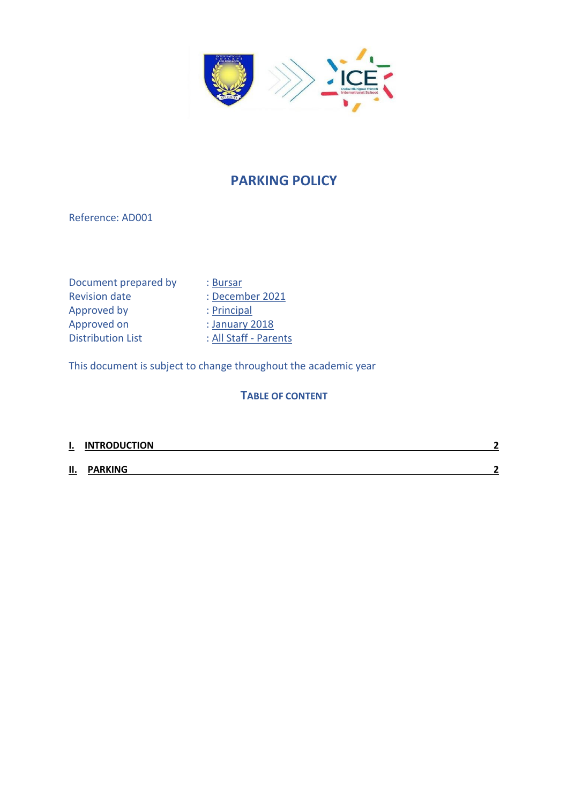

## **PARKING POLICY**

Reference: AD001

Document prepared by : Bursar Revision date : December 2021<br>Approved by : Principal Approved by<br>Approved on Distribution List : All Staff - Parents

: January 2018

This document is subject to change throughout the academic year

## **TABLE OF CONTENT**

| $\mathbf{l}$ . | <b>INTRODUCTION</b> | ◚                        |
|----------------|---------------------|--------------------------|
| П.             | <b>PARKING</b>      | $\overline{\phantom{a}}$ |